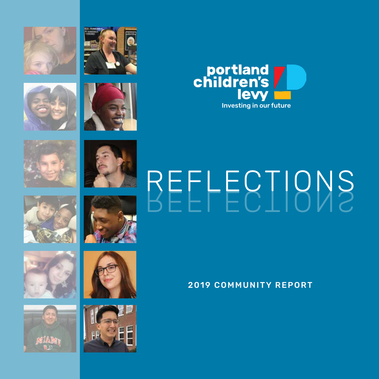



2019 COMMUNITY REPORT

















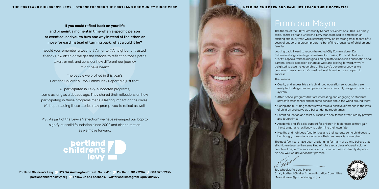# From our Mayor

The theme of the 2019 Community Report is "Reflections." This is a timely topic, as the Portland Children's Levy stands poised to embark on an exciting and busy year, while standing firmly on its strong track record of 16 years of supporting proven programs benefiting thousands of children and families.

Looking back, I want to recognize retired City Commissioner Dan Saltzman's long-standing commitment in making Portland children a priority, especially those marginalized by historic inequities and institutional barriers. That is a passion I share as well; and looking forward, why I'm delighted to assume leadership of the Levy's governing body as we continue to assist our city's most vulnerable residents find a path to success.

- Quality and accessible early childhood education so youngsters are ready for kindergarten and parents can successfully navigate the school system;
- After-school programs that are interesting and engaging so students stay safe after school and become curious about the world around them;
- Caring and nurturing mentors who make a positive difference in the lives of children and serve as a ballast during rough times;
- Parent education and relief nurseries to heal families fractured by poverty and tough times;
- Academic and life skills support for children in foster care so they gain the strength and resiliency to determine their own fate;
- Healthy and nutritious food for kids and their parents so no child goes to bed hungry or worries about where their next meal is coming from.

That means:

The past few years have been challenging for many of us who believe that all children deserve the same kind of future regardless of creed, color or country of origin. The success of our city and our nation directly depends on how well we deliver on that promise.

Ted Wheeler, Portland Mayor Chair, Portland Children's Levy Allocation Committee MayorWheeler@portlandoregon.gov



If you could reflect back on your life and pinpoint a moment in time when a specific person or event caused you to turn one way instead of the other, or move forward instead of turning back, what would it be?

Would you remember a teacher? A mentor? A neighbor or trusted friend? How often do we get the chance to reflect on those paths taken, or not, and consider how different our journey might have been?

The people we profiled in this year's Portland Children's Levy Community Report did just that.

All participated in Levy-supported programs, some as long as a decade ago. They shared their reflections on how participating in those programs made a lasting impact on their lives: We hope reading these stories may prompt you to reflect as well.

P.S.: As part of the Levy's "reflection" we have revamped our logo to signify our solid foundation since 2002 and clear direction as we move forward.



Portland Children's Levy <sup>1</sup> 319 SW Washington Street, Suite 415 <sup>1</sup> Portland, OR 97204 <sup>1</sup> 503.823.2936 portlandchildrenslevy.org Follow us on Facebook, Twitter and Instagram @pdxkidslevy

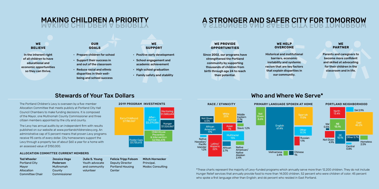## Who and Where We Serve\*

\*These charts represent the majority of Levy-funded programs which annually serve more than 12,200 children. They do not include Hunger Relief services that annually provide food to more than 14,000 children, 52 percent who were children of color; 45 percent who spoke a first language other than English; and 66 percent who resided in East Portland.

#### **Spanish** 17.5% English<br>61.4% 61.4% Other 8.0% Vietnamese 2.4% Chinese 1% Russian 1.1% PRIMARY LANGUAGE SPOKEN AT HOME PORTLAND NEIGHBORHOOD North 13.4% East<br>46.2% **NE** Last<br>**13.1%** 46.2% SE<br>10.1% 10.1% Other 5.7% Not Given 4.9% SW 2.9% Homeless 2.5% NW  $0.5%$ **Central** 0.8%

Alaskan 2.4%

RACE / ETHNICITY

#### Native American/ Native Native Hawaiian/ Pacific Islander 1.2% Slavic 1.2% Latino/ Hispanic 22% White 25% **African** American 17% **Multiracial** 15% Asian 7% Not Given 6.5% African 2.7% Middle **Eastern** 0.7%

Not Given 8.6%



## 2019 PROGRAM INVESTMENTS

#### ALLOCATION COMMITTEE CURRENT MEMBERS

Ted Wheeler Portland City Mayor Allocation Committee Chair

#### **OUR GOALS**

- Prepare children for school
- Support their success in and out of the classroom
- Reduce racial and ethnic disparities in their wellbeing and school success

#### **WE SUPPORT**

- Positive early development
- School engagement and academic achievement
- High school graduation
- Family safety and stability

## MAKING CHILDREN A PRIORITY MAKING CHILDREN A PRIORITY A STRONGER AND SAFER CITY FOR TOMORROW



#### **WE BELIEVE**

In the inherent right of all children to have educational and economic opportunities so they can thrive.

### **WE PROVIDE OPPORTUNITIES**

Since 2002, our programs have strengthened the Portland community by supporting thousands of children from birth through age 24 to reach their potential.

#### **WE HELP OVERCOME**

Historical and institutional barriers, economic instability and systemic racism that are key factors that explain disparities in our community.

#### **WE PARTNER**

Parents and caregivers to become more confident and skilled at advocating for their children in the classroom and in life.

## Stewards of Your Tax Dollars

Jessica Vega Pederson Multnomah County Commissioner Julie S. Young Youth advocate and community volunteer Deputy Director Center

Felicia Tripp Folsom Portland Housing Mitch Hornecker Principal, Modoc Consulting

The Portland Children's Levy is overseen by a five-member Allocation Committee that meets publicly at Portland City Hall Council Chambers to make funding decisions. It is composed of the Mayor, one Multnomah County Commissioner and three citizen members appointed by the city and county.

The Levy has annual audits by an independent firm with results published on our website at www.portlandchildrenslevy.org. An administrative cap of 5 percent means that proven Levy programs receive 95 cents of every dollar. City homeowners support the Levy through a property tax of about \$60 a year for a home with an assessed value of \$150,000.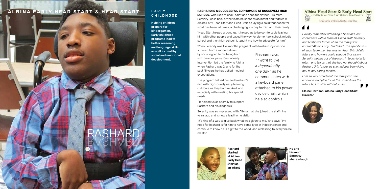#### **RASHARD IS A SUCCESSFUL SOPHOMORE AT ROOSEVELT HIGH**

**SCHOOL,** who likes to cook, paint and shop for clothes. His mom, Serenity, looks back at the years he spent as an infant and toddler in Albina Early Head Start and Head Start as laying a solid foundation for what has been, at times, a challenging journey for him and their family.

"Head Start helped ground us. It helped us to be comfortable leaving him with other people and paved the way for elementary school, middle school and then high school. It taught me how to advocate for him."

"It's kind of a way to give back what was given to me," she says, "My hope for Rashard is for him to have some type of independence and continue to know he is a gift to the world, and a blessing to everyone he<br>meets."<br>RASHARD meets."



When Serenity was five months pregnant with Rashard injuries she suffered from a random drive-

by shooting led to his being born with cerebral palsy. Crucial early intervention led the family to Albina when Rashard was 2, and for the past 15 years he has defied medical expectations.

The program helped her and Rashard's dad with high-quality early learning childcare as they both worked, and especially with meeting his special needs.

 "It helped us as a family to support Rashard and his diagnosis."

## **EARLY** CHILDHOOD

Serenity was so impressed with Albina that she joined the staff nine years ago and is now a lead home visitor.

*I vividly remember attending a SpecialQuest conference with a team of Albina staff, Serenity, and Rashard's father when the family first entered Albina Early Head Start. The specific task of each team member was to vision this child's future and how we could support that vision. Serenity walked out of the room in tears; later to return and tell us that she had not thought about Rashard Jr's future, as she had just been living day to day caring for him.* 

*I am so very proud that the family can see, embrace, and plan for all the possibilities the future has to offer without limits.* 

Elaine Harrison, Albina Early Head Start Director



Rashard started at Albina Early Head Start as an infant



He and his mom **Serenity** share a laugh

## **ALBINA EARLY HEAD START & HEAD START**

Helping children prepare for kindergarten. Early childhood programs lead to better reasoning and language skills as well as healthy social and emotional development.

Rashard says, *" I want to live independently one day,*" as he communicates with a keyboard panel attached to his power device chair, which he also controls.





Empowering Children & Families since 1965



RASHARD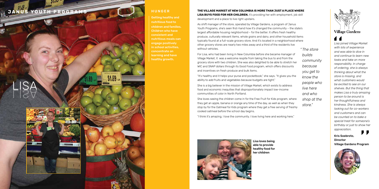*" The store builds community because you get to know the people who live here and who shop at the store."*



*Lisa joined Village Market with lots of experience and was able to dive in and continue to learn new tasks and take on more responsibility. In charge of ordering, she is always thinking about what the store is missing, and what customers would be excited to see on our shelves. But the thing that makes Lisa a truly amazing person to be around is her thoughtfulness and kindness. She is always looking out for co-workers and customers and can be counted on to bake a special treat for someone's birthday or just to show her appreciation.*

Kris Soebroto, Director Village Gardens Program



Lisa loves being able to provide healthy food for

her children

#### **THE VILLAGE MARKET AT NEW COLUMBIA IS MORE THAN JUST A PLACE WHERE LISA BUYS FOOD FOR HER CHILDREN.** It's providing her with employment, job skill development and a place to live right upstairs.

As shift manager of the store, operated by Village Gardens, a program of Janus Youth Programs, she's seen first-hand how it's changed the community – the state's largest affordable housing neighborhood – for the better. It offers fresh healthy produce, culturally relevant items, whole grains and dairy, and other household items typically found at a full-scale grocery store. And it's located in a neighborhood where other grocery stores are nearly two miles away and a third of the residents live without vehicles.

## **JANUS YOUTH PROGRAMS EVALUATE RESERVE HUNGER**

# LISA LISA



 $$1.69$ 

For Lisa, who had been living in New Columbia before she became manager of Village Market, it was a welcome respite from taking the bus to and from the grocery store with two children. She was also delighted to be able to stretch her WIC and SNAP dollars through its Good Food program, which offers discounts and incentives on fresh produce and bulk items.

"It's healthy and it helps your purse and pocketbook," she says. "It gives you the ability to add fruits and vegetables because budgets are tight."

She is a big believer in the mission of Village Market, which exists to address food and economic inequities that disproportionately impact low-income communities of color in North Portland.

She loves seeing the children come in for the Free Fruit for Kids program, where they get an apple, banana or orange any time of the day, as well as when they stop by for the Oatmeal for Kids program where they get a free serving of freshly cooked oatmeal before the school day begins.

"I think it's amazing. I love the community. I love living here and working here."



Getting healthy and nutritious food to children and families. Children who have consistent and nutritious meals can engage positively in school activities, concentrate on learning and have healthy growth.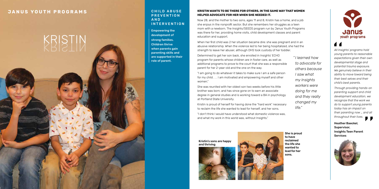#### **CHILD ABUSE PREVENTION** A N D INTERVENTION

Empowering the development of strong families. Children thrive when parents gain parenting skills and are supported in their role of parent.

 $\blacksquare$ *All Insights' programs hold young parents to reasonable expectations given their own developmental stage and potential trauma exposure. We genuinely believe in their ability to move toward being their best selves and their child's best parents.*

*Through providing hands-on parenting support and child development education, we recognize that the work we do to support young parents today has an impact on their parenting now … and all throughout their lives.*

Heather Baeckel, Supervisor, Insights Teen Parent Services



### **KRISTIN WANTS TO BE THERE FOR OTHERS, IN THE SAME WAY THAT WOMEN HELPED ADVOCATE FOR HER WHEN SHE NEEDED IT.**

Now 28, and the mother to two sons, ages 11 and 8, Kristin has a home, and a job she enjoys in the nonprofit sector. But she remembers her struggles as a teen mom with a newborn. The Insights/SEEDS program run by Janus Youth Programs was there for her, providing home visits, child development classes and parent education and support.

When her first child was 2 her situation became dire: she was pregnant and in an abusive relationship. When the violence led to her being hospitalized, she had the strength to leave her abuser, although DHS took custody of her toddler.

## **JANUS YOUTH PROGRAMS**

# KRISTIN KRISTIN

Determined to get her son back, she enrolled in Insights' ECHO program for parents whose children are in foster care, as well as additional programs to prove to the court that she was a responsible parent for her 2-year-old and the one on the way.

"I am going to do whatever it takes to make sure I am a safe person for my child . . . I am motivated and empowering myself and other women."

She was reunited with her oldest son two weeks before his little brother was born, and has since gone on to earn an associate degree in general studies and is working toward a BA in psychology at Portland State University.

Kristin is proud of herself for having done the "hard work" necessary to reclaim the life she wanted to lead for herself, and her sons.

"I don't think I would have understood what domestic violence was, and what my work in this world was, without Insights."

*" I learned how to advocate for others because I saw what my Insights workers were doing for me and they really changed my life."*

She is proud to have reclaimed the life she wanted to lead for her sons.



Kristin's sons are happy and thriving



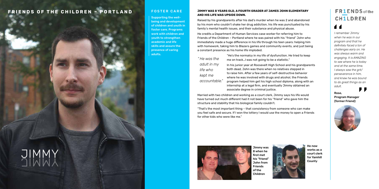#### **JIMMY WAS 8 YEARS OLD, A FOURTH GRADER AT JAMES JOHN ELEMENTARY AND HIS LIFE WAS UPSIDE DOWN.**

Raised by his grandparents after his dad's murder when he was 2 and abandoned by his mom who couldn't shake her drug addiction, his life was punctuated by his family's mental health issues, and their substance and physical abuse.

He credits a Department of Human Services case worker for referring him to Friends of the Children – Portland where he was paired with his "friend" John who immediately made a huge difference in his life through his teen years: helping him with homework, taking him to Blazers games and community events, and just being a constant presence as his home life imploded.

"He's the normalcy in my life of dysfunction. He tried to keep

# **FR1ENDS** of the **CH1LDREN**  $\blacktriangleleft$

me on track…I was not going to be a statistic." In his junior year at Roosevelt High School and his grandparents both dead, John was there when no relatives stepped in to raise him. After a few years of self-destructive behavior where he was involved with drugs and alcohol, the Friends program helped him get his high school diploma, along with an internship at a legal firm, and eventually Jimmy obtained an associate degree in criminal justice.

Married with two children and working as a court clerk, Jimmy says his life would have turned out much different had it not been for his "friend" who gave him the structure and stability that his biological family couldn't.

"That's the most important thing – that consistency from someone who can make you feel safe and secure. If I won the lottery I would use the money to open a Friends for other kids who were like me."



#### FOSTER CARE

*" He was the adult in my life who kept me accountable."* *I remember Jimmy when he was in our program and that he definitely faced a ton of challenges early on. He was always warm and engaging. It is AMAZING to see where he is today and at the same time, I always saw the grit/ perseverance in him, and knew he was bound to do great things as an adult.* 



#### Rose, Program Manager (former Friend)



Jimmy was 8 when he first met his "friend" John from Friends of the Children

# **FRIENDS OF THE CHILDREN – PORTLAND**

Supporting the wellbeing and development of children and youth in foster care. Programs work with children and youth to strengthen academic and life skills and assure the presence of caring adults.



He now works as a court clerk for Yamhill County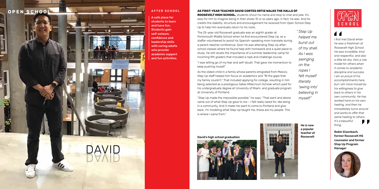**AS FIRST-YEAR TEACHER DAVID CORTES ORTIZ WALKS THE HALLS OF ROOSEVELT HIGH SCHOOL,** students shout his name and stop to chat and joke. It's easy for him to imagine being in their shoes 10 or so years ago; in fact, he was. And he credits the stability, structure and encouragement he received from Open School Step Up to help him eventually return to his roots.

The 25-year-old Roosevelt graduate was an eighth grader at Portsmouth Middle School when he first encountered Step Up, as a staffer volunteered to assist his Spanish-speaking mom translate during a parent-teacher conference. Soon he was attending Step Up afterschool classes where he found help with homework and a quiet place to study. He still recalls the importance of a summer leadership camp for incoming 9th graders that included a rope and challenge course.

"I was letting go of my fear and self-doubt. That gave me momentum to keep pushing myself."

As the oldest child in a family whose parents emigrated from Mexico, Step Up staff helped him focus on academics and "fill the gaps that my family couldn't." That included applying for college, resulting in him being selected as a prestigious Gates Millennium Scholar which paid for his undergraduate degree at University of Miami, and graduate program at University of Portland.

 $\blacktriangleleft$ *I first met David when he was a freshman at Roosevelt High School. He was incredible, kind and respectful, and also a little bit shy. He's a role model for others when it comes to academic discipline and success. I am so proud of his accomplishments here, but I am more moved by his willingness to give back to others in his own community. He has worked hard on his own healing, and then he immediately turns around and works to offer that same healing to others. It's a beautiful thing.*

"Step Up made the impossible possible," he says. "That want and desire came out of what Step Up gave to me – I felt really cared for, like being in a community. And it made me want to come to Portland and give back. I'm modeling what Step Up taught me…these are my people. This is where I came from."

*" Step Up helped me burst out of my shell. As I was swinging on the ropes I felt myself literally 'swing into' believing in myself."*



David's high school graduation





Robin Eisenbach, former Roosevelt HS counselor and former Step Up Program Manager



He is now a popular teacher at Roosevelt



A safe place for students to learn and have fun. Students gain self-esteem, confidence and leadership skills with caring adults who provide academic support and fun activities.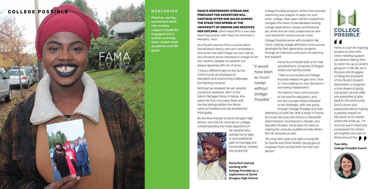FAMA

#### MENTORING

Fama first started working with College Possible as a sophomore at David Douglas High School

*Fama is such an inspiring student to work with, rarely needing support, yet always making time to catch me up on what's going on in her life, be it the joys and struggles of being the president of the Muslim Student Association or progress on her dream of going into public service after she graduates to give back to the community. She is driven and passionate about making a positive impact on the world so no matter where she ends up, I'm sure her warm heart and compassion for others will brighten the lives of those around her.*

### Tess Hills, College Possible Coach



Positive, caring, consistent adult role models support students' engagement in school and help them realize their academic and life goals.

#### **FAMA'S INDEPENDENT STREAK AND PENCHANT FOR ADVENTURE WILL CONTINUE AFTER SHE WALKS ACROSS THE STAGE THIS SPRING AT THE UNIVERSITY OF OREGON AND RECEIVES HER DIPLOMA.** She'll head off to a two-year teaching position with Teach for America in Memphis, Tenn.

As a Muslim woman from a conservative Somali Bantu family, she can't remember a time when she didn't blaze her own trail as she strived to be an individual in charge of her own destiny, despite her parents not always agreeing with her choices.

"I have a different take on the Qur'an. I think it puts an emphasis on education and overcoming challenges and fighting injustice."

Nothing has stopped her yet, despite numerous obstacles. Born in the Kakum Refugee Camp in Kenya, she spent her first nine years there with her five siblings before the family came to Portland and she entered the third grade.

By the time she got to David Douglas High School, she had her mind set on college, notwithstanding the initial objections of



her parents who wanted her to take a more traditional path of marriage and homemaking. Instead, she joined the

College Possible program, where she received mentoring and support to apply for, and enter, college. Near-peer mentors helped her navigate the maze of standardized testing, college applications, essays and financial aid, while she ran track, played soccer and volunteered for extracurricular clubs.

College Possible works with students like Fama, making college admission and success attainable for first-generation students through an intensive curriculum of coaching and support.

Fama found herself with a full-ride scholarship to University of Oregon where she has flourished. "I feel so connected and College Possible helped me get here. I love it. I love making my own decisions. I love being independent." Her parents have come around to her zest for education; and her two younger sisters followed in her footsteps, with one going through College Possible and even *Possible."*

> attending UO with her. With a major in Family & Human Services and minors in Nonprofit Administration and Women's, Gender, and Sexuality Studies, Fama sees her past as making her uniquely qualified to help others like her succeed as well.

"My long-term goal is to open a nonprofit for Somali and other Muslim young girls to empower them and let them be their own person."

# H **COLLEGE POSSIBLE**  $\blacktriangleleft$

## **COLLEGE POSSIBLE**

*" It would have been so much harder without College*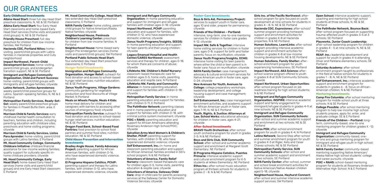#### **Early Childhood Investments**

Albina Head Start: three full-day Head Start preschool classrooms; N, NE & SE Portland Albina Early Head Start: four Early Head Start classrooms and home-based Early Head Start services (home visits and parent/ child groups); N, NE & SE Portland

Friendly House Preschool: full-day preschool for children from low-income families; NW Portland

Hacienda CDC, Portland Niños: homevisiting, parent/child groups with Latino families in Hacienda properties and Cully neighborhood

Impact Northwest, Parent-Child Development Services: home-visiting, parent/child groups, and kindergarten transition support, NE & SE Portland

Immigrant and Refugee Community Organization, Child and Parent Success: home-visiting, parent/child groups with immigrants and refugee families; citywide

Latino Network, Juntos Aprendemos: weekly parent/child preschool groups for Latino, Spanish-speaking families; N, NE & E Portland

Head Start: home-based Early Head Start services (home visits and parent/child groups) and one Early Head Start classroom; E Portland

Metropolitan Family Services, Ready-Set-**Go!:** weekly parent/child preschool groups for families in Powell Butte Elem. area; E Portland

Neighborhood House: home-based early Oregon Pre-kindergarten services (home visits and parent/child groups); SW Portland Portland Public Schools Head Start: four extended-day Head Start preschool classrooms; E Portland

Morrison Child & Family Services: early childhood mental health consultation to teachers, families and children, including parenting education with childcare sites, preschools and home visiting programs; citywide

Morrison Child & Family Services, Listos **Para Aprender:** home-visiting, parent/child groups with Latino families; E Portland Mt. Hood Community College, Community Childcare Initiative: childcare financial assistance for low-income working families; quality support for culturally specific inhome childcare providers; citywide

Mt. Hood Community College, Early

Mt. Hood Community College, Head Start: two extended-day Head Start preschool

**Organization:** in-home parenting education and support for immigrant and refugee families with children ages 0-18; citywide

classrooms; E Portland NAYA Family Center: home visiting, parent/ child groups for Native American/Alaska Native families; citywide

Neighborhood House, Peninsula Children's Learning Center: preschool for children from low-income families; N Portland

**Hunger Relief Investments** 

The Pathfinder Network: parenting classes and in-home parenting education and support for families with children 0-18, with criminal justice system involvement; citywide **POIC + RAHS: parenting education and** support for African Americans attending Rosemary Anderson High School/POIC; citywide

Immigration and Refugee Community Organization, Hunger Relief: outreach for food donation and access to school-based hunger relief services; nutrition education; NE & SE Portland

> Self Enhancement, Inc.: in-home and classroom parenting education and support for African American families enrolled in SEI's school program; N & NE Portland

Janus Youth Programs, Village Gardens: community gardening for vegetable production and food discounts at Village Market; N Portland

Meals on Wheels People, Meals 4 Kids: home meal delivery for children and caregivers with barriers to accessing other sources of emergency food; citywide

Metropolitan Family Service: outreach for food donation and access to school-based hunger relief services; nutrition education; NE & SE Portland

Oregon Food Bank, School-Based Food **Pantries:** food provision to school food pantries and summer food sites; nutrition education; NE & SE Portland

#### **Child Abuse Prevention and Intervention Investments**

**College:** college preparatory workshops, leadership development, and college housing support and case management; citywide

Bradley Angle House, Family Advocacy **Project:** parenting support for African American families, with children 0-16, who have experienced domestic violence; citywide

Self Enhancement, Inc.: case management enrichment activities, and academic support for African American youth in foster care, ages 7-19; N, NE & E Portland

El Programa Hispano Católico, PChIP: parenting support and therapy for Latino families, with children 0-12, who have experienced domestic violence; citywide

**School:** after-school and summer academic support and enrichment at Margaret Scott Elementary; NE Portland

#### Immigrant and Refugee Community

**Ethos Inc.:** after-school music education program at thirteen schools for students in grades 2 - 8; N & NE Portland

Impact Northwest, PChIP: parenting education and support for families, with children 0-12, who have experienced domestic violence; citywide

Janus Youth Programs/Insights, SEEDS: in-home parenting education and support for teen parents and their young children; citywide

Legacy Emanuel Hospital and Health Center/CARES Northwest: assessment services and therapy for children, ages 0-18, for whom there are concerns of abuse; citywide

LifeWorks NW, Children's Relief Nursery: classroom-based therapeutic care for children ages 0-5, home visits, parenting education and respite care; N Portland LIfeWorks NW, Family and Community **Alliance:** in-home parenting education and support for families with children 0-18; citywide

Metropolitan Family Service: in-home parenting education and support for families with children 0-11; E Portland

**Open School:** intensive academic support, coaching and mentoring for high school students at three schools; N, NE & SE Portland

Salvation Army West Women's & Children's Shelter, PChIP: parenting support for families, with children 0-18, who have experienced domestic violence; citywide

Saturday Academy: after-school enrichment program taught by professionals in the field at twelve schools for students in grades 1 - 8; N, NE & SE Portland

Self Enhancement, Inc.: intensive academic support and enrichment program for students in grades 6 - 8, focus on African-American children; N & NE Portland

Volunteers of America, Family Relief Nursery: classroom-based therapeutic care for children ages 0-5, home visits, parenting education & respite care; citywide

Volunteers of America, Gateway Child **Care:** drop-in child care for parents accessing services at the Gateway Center for Domestic Violence Services; citywide

#### **Foster-Care Investments**

Boys & Girls Aid, Permanency Project: services to support youth in foster care, ages 10 and older, prepare for permanency; citywide

Friends of the Children – Portland: intensive, long-term, one-to-one mentoring services for children in foster care grades K-12; citywide

Impact NW, Safe & Together: intensive home visiting services for children in foster care, ages 0-8; support for birth and foster parents; focus on reunification; citywide

Janus Youth Programs/Insights, ECHO: intensive home visiting for teen parents where either the child or teen parent is in foster care; focus on reunification; citywide

NAYA Family Center: case management, advocacy & cultural enrichment services for Native American youth in foster care, ages 0-24; citywide

New Avenues for Youth, Avenues to

Youth, Rights, & Justice: Attorneys at Law, School Works: educational advocacy for children in foster care, ages 4-21; citywide

#### **After-School Investments**

BRAVO Youth Orchestras: after-school youth orchestra program for youth in grades 2-5; N & NE Portland

Boys and Girls Club, SUN Community

El Programa Hispano Catolico, Puentes Primaria: intensive academic support and cultural enrichment program for K-5 students at Wilkes Elementary; NE Portland Girls Inc. of the Pacific Northwest: afterschool program for girls focused on youth development at nine schools for students in grades 4 - 8; N, NE & SE Portland

Hacienda CDC, Expresiones: after-school/ summer program providing homework support and enrichment activities for children in grades K-8 at Hacienda properties; N & NE Portland

Human Solutions, LearnLinks: after-school program providing intensive academic support and enrichment activities for children in grades K-8 at low-income housing developments; NE & SE Portland

Human Solutions, Family Shelter: afterschool enrichment program for youth experiencing homelessness; SE Portland

Impact Northwest, AKA Science: afterschool science program offered to youth in grades K-8 at SUN Community Schools; citywide

Impact Northwest, Urban Opportunities: after-school program focused on job readiness training for high school students; N & NE Portland

Immigrant and Refugee Community **Organization, INSPIRE:** intensive academic support and family engagement for immigrant/refugee students in grades 4-9 at nine schools; NE & SE Portland

Immigrant and Refugee Community Organization, SUN Community Schools: after-school and summer academic support

and enrichment at two schools; NE & SE Portland

Kairos PDX: after-school enrichment program for youth in grades K-4; N Portland Latino Network: Second Step after-school and summer enrichment program for youth in grades K-3 at Rigler, Kelly and Cesar Chavez schools; NE & SE Portland

Metropolitan Family Service, SUN Community Schools: after-school and summer academic support and enrichment at two schools; SE Portland

NAYA Family Center: after-school, summer and school break enrichment activities for Native American/Native Alaskan children aged 5-18; citywide

Neighborhood House, Hayhurst Connect:

after-school and summer intensive academic support services; SW Portland

The Pathfinder Network, Bounce Back: after-school program focused on supporting trauma-affected youth in grades 3-5 at 3 schools; SE Portland

Playworks, Junior Coach Leadership: after-school leadership program for children in grades 4 - 5 at nine schools; N, NE & SE Portland

REAP, Inc.: leadership development and support for youth in grades 4-6 attending Oliver and Parklane elementary schools; SE Portland

#### **Mentoring Investments**

Camp Fire Columbia: after school mentoring program for middle school youth at three schools; N & SE Portland

College Possible: after school mentoring program to help low-income high school students prepare, apply for, enter, and graduate college; SE & E Portland

Friends of the Children – Portland: longterm, community-based, one-to-one mentoring program for children grades K-12; citywide

Immigrant and Refugee Community Organization: community-based, oneto-one and group mentoring program for immigrant and refugee youth in high school;

NE & SE Portland NAYA Family Center: community-based mentoring supporting Native American/ Alaska Native high school students' college and career pursuits; citywide

POIC + RAHS: school-based mentoring program for students at Rosemary Anderson Alternative High School; N & E Portland

# OUR GRANTEES